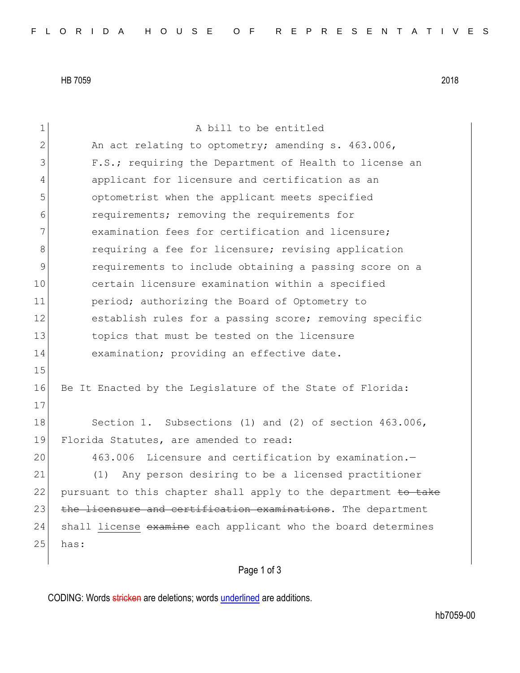HB 7059 2018

1 a bill to be entitled 2 An act relating to optometry; amending s. 463.006, 3 **F.S.;** requiring the Department of Health to license an 4 applicant for licensure and certification as an 5 optometrist when the applicant meets specified 6 6 6 requirements; removing the requirements for 7 **examination fees for certification and licensure;** 8 8 requiring a fee for licensure; revising application 9 **19** requirements to include obtaining a passing score on a 10 certain licensure examination within a specified 11 **period;** authorizing the Board of Optometry to 12 establish rules for a passing score; removing specific 13 topics that must be tested on the licensure 14 examination; providing an effective date. 15 16 Be It Enacted by the Legislature of the State of Florida: 17 18 Section 1. Subsections (1) and (2) of section 463.006, 19 Florida Statutes, are amended to read: 20 463.006 Licensure and certification by examination.— 21 (1) Any person desiring to be a licensed practitioner 22 pursuant to this chapter shall apply to the department to take 23 the licensure and certification examinations. The department 24 shall license examine each applicant who the board determines  $25$  has:

## Page 1 of 3

CODING: Words stricken are deletions; words underlined are additions.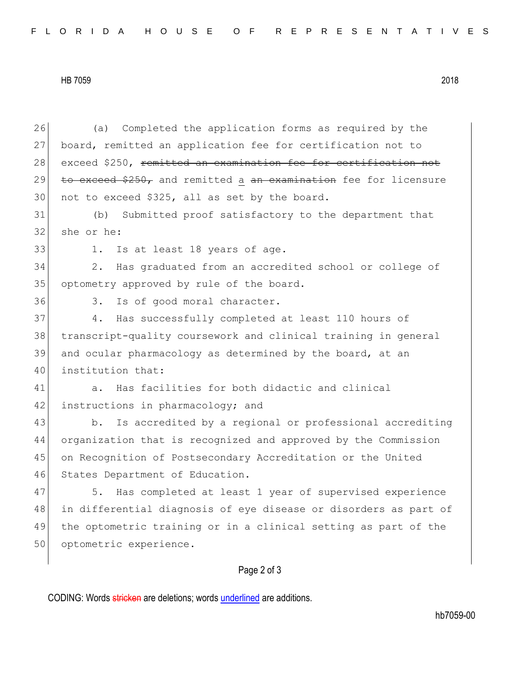HB 7059 2018

26 (a) Completed the application forms as required by the 27 board, remitted an application fee for certification not to 28 exceed \$250, remitted an examination fee for certification not 29 to exceed  $$250<sub>r</sub>$  and remitted a an examination fee for licensure 30 not to exceed \$325, all as set by the board. 31 (b) Submitted proof satisfactory to the department that 32 she or he: 33 1. Is at least 18 years of age. 34 2. Has graduated from an accredited school or college of 35 optometry approved by rule of the board. 36 3. Is of good moral character. 37 4. Has successfully completed at least 110 hours of 38 transcript-quality coursework and clinical training in general 39 and ocular pharmacology as determined by the board, at an 40 institution that: 41 a. Has facilities for both didactic and clinical 42 instructions in pharmacology; and 43 b. Is accredited by a regional or professional accrediting 44 organization that is recognized and approved by the Commission 45 on Recognition of Postsecondary Accreditation or the United 46 States Department of Education. 47 5. Has completed at least 1 year of supervised experience 48 | in differential diagnosis of eye disease or disorders as part of 49 the optometric training or in a clinical setting as part of the 50 optometric experience.

## Page 2 of 3

CODING: Words stricken are deletions; words underlined are additions.